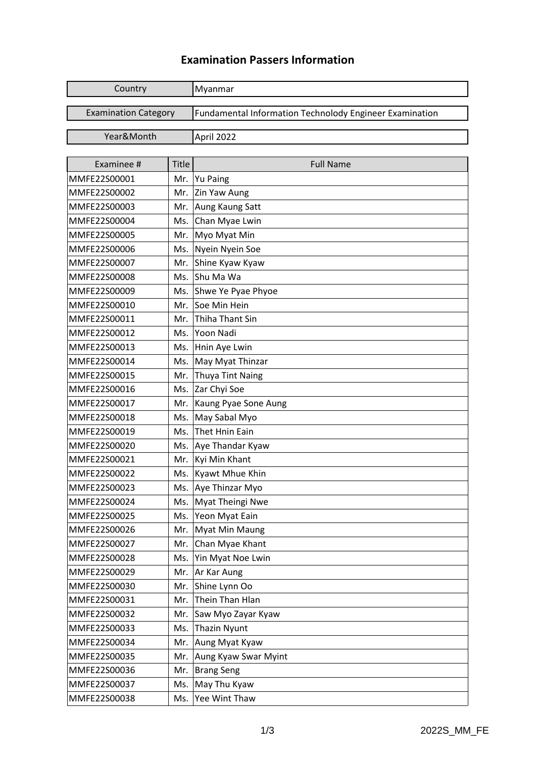## **Examination Passers Information**

| Country                     |              | Myanmar                                                 |
|-----------------------------|--------------|---------------------------------------------------------|
|                             |              |                                                         |
| <b>Examination Category</b> |              | Fundamental Information Technolody Engineer Examination |
| Year&Month                  |              | April 2022                                              |
|                             |              |                                                         |
| Examinee #                  | <b>Title</b> | <b>Full Name</b>                                        |
| MMFE22S00001                | Mr.          | <b>Yu Paing</b>                                         |
| MMFE22S00002                | Mr.          | Zin Yaw Aung                                            |
| MMFE22S00003                | Mr.          | Aung Kaung Satt                                         |
| MMFE22S00004                | Ms.          | Chan Myae Lwin                                          |
| MMFE22S00005                | Mr.          | Myo Myat Min                                            |
| MMFE22S00006                | Ms.          | Nyein Nyein Soe                                         |
| MMFE22S00007                | Mr.          | Shine Kyaw Kyaw                                         |
| MMFE22S00008                | Ms.          | Shu Ma Wa                                               |
| MMFE22S00009                | Ms.          | Shwe Ye Pyae Phyoe                                      |
| MMFE22S00010                | Mr.          | Soe Min Hein                                            |
| MMFE22S00011                | Mr.          | <b>Thiha Thant Sin</b>                                  |
| MMFE22S00012                | Ms.          | Yoon Nadi                                               |
| MMFE22S00013                | Ms.          | Hnin Aye Lwin                                           |
| MMFE22S00014                | Ms.          | May Myat Thinzar                                        |
| MMFE22S00015                | Mr.          | <b>Thuya Tint Naing</b>                                 |
| MMFE22S00016                | Ms.          | Zar Chyi Soe                                            |
| MMFE22S00017                | Mr.          | Kaung Pyae Sone Aung                                    |
| MMFE22S00018                | Ms.          | May Sabal Myo                                           |
| MMFE22S00019                | Ms.          | <b>Thet Hnin Eain</b>                                   |
| MMFE22S00020                | Ms.          | Aye Thandar Kyaw                                        |
| MMFE22S00021                | Mr.          | Kyi Min Khant                                           |
| MMFE22S00022                | Ms.          | <b>Kyawt Mhue Khin</b>                                  |
| MMFE22S00023                |              | Ms. Aye Thinzar Myo                                     |
| MMFE22S00024                | Ms.          | Myat Theingi Nwe                                        |
| MMFE22S00025                | Ms.          | Yeon Myat Eain                                          |
| MMFE22S00026                | Mr.          | <b>Myat Min Maung</b>                                   |
| MMFE22S00027                | Mr.          | Chan Myae Khant                                         |
| MMFE22S00028                | Ms.          | Yin Myat Noe Lwin                                       |
| MMFE22S00029                | Mr.          | Ar Kar Aung                                             |
| MMFE22S00030                | Mr.          | Shine Lynn Oo                                           |
| MMFE22S00031                | Mr.          | Thein Than Hlan                                         |
| MMFE22S00032                | Mr.          | Saw Myo Zayar Kyaw                                      |
| MMFE22S00033                | Ms.          | <b>Thazin Nyunt</b>                                     |
| MMFE22S00034                | Mr.          | Aung Myat Kyaw                                          |
| MMFE22S00035                | Mr.          | Aung Kyaw Swar Myint                                    |
| MMFE22S00036                | Mr.          | <b>Brang Seng</b>                                       |
| MMFE22S00037                | Ms.          | May Thu Kyaw                                            |
| MMFE22S00038                | Ms.          | Yee Wint Thaw                                           |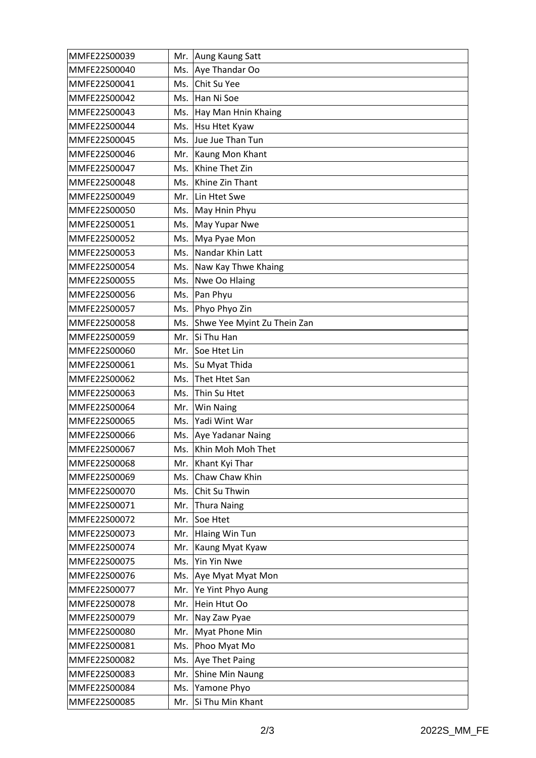| MMFE22S00039 | Mr. | Aung Kaung Satt             |
|--------------|-----|-----------------------------|
| MMFE22S00040 | Ms. | Aye Thandar Oo              |
| MMFE22S00041 | Ms. | Chit Su Yee                 |
| MMFE22S00042 | Ms. | Han Ni Soe                  |
| MMFE22S00043 | Ms. | Hay Man Hnin Khaing         |
| MMFE22S00044 | Ms. | Hsu Htet Kyaw               |
| MMFE22S00045 | Ms. | Jue Jue Than Tun            |
| MMFE22S00046 | Mr. | Kaung Mon Khant             |
| MMFE22S00047 | Ms. | Khine Thet Zin              |
| MMFE22S00048 | Ms. | Khine Zin Thant             |
| MMFE22S00049 | Mr. | Lin Htet Swe                |
| MMFE22S00050 | Ms. | May Hnin Phyu               |
| MMFE22S00051 | Ms. | May Yupar Nwe               |
| MMFE22S00052 | Ms. | Mya Pyae Mon                |
| MMFE22S00053 | Ms. | Nandar Khin Latt            |
| MMFE22S00054 | Ms. | Naw Kay Thwe Khaing         |
| MMFE22S00055 | Ms. | Nwe Oo Hlaing               |
| MMFE22S00056 | Ms. | Pan Phyu                    |
| MMFE22S00057 | Ms. | Phyo Phyo Zin               |
| MMFE22S00058 | Ms. | Shwe Yee Myint Zu Thein Zan |
| MMFE22S00059 | Mr. | Si Thu Han                  |
| MMFE22S00060 | Mr. | Soe Htet Lin                |
| MMFE22S00061 | Ms. | Su Myat Thida               |
| MMFE22S00062 | Ms. | Thet Htet San               |
| MMFE22S00063 | Ms. | Thin Su Htet                |
| MMFE22S00064 | Mr. | <b>Win Naing</b>            |
| MMFE22S00065 | Ms. | Yadi Wint War               |
| MMFE22S00066 | Ms. | Aye Yadanar Naing           |
| MMFE22S00067 |     | Ms. Khin Moh Moh Thet       |
| MMFE22S00068 | Mr. | Khant Kyi Thar              |
| MMFE22S00069 | Ms. | Chaw Chaw Khin              |
| MMFE22S00070 | Ms. | Chit Su Thwin               |
| MMFE22S00071 | Mr. | <b>Thura Naing</b>          |
| MMFE22S00072 | Mr. | Soe Htet                    |
| MMFE22S00073 | Mr. | <b>Hlaing Win Tun</b>       |
| MMFE22S00074 | Mr. | Kaung Myat Kyaw             |
| MMFE22S00075 | Ms. | <b>Yin Yin Nwe</b>          |
| MMFE22S00076 | Ms. | Aye Myat Myat Mon           |
| MMFE22S00077 | Mr. | Ye Yint Phyo Aung           |
| MMFE22S00078 | Mr. | Hein Htut Oo                |
| MMFE22S00079 | Mr. | Nay Zaw Pyae                |
| MMFE22S00080 | Mr. | Myat Phone Min              |
| MMFE22S00081 | Ms. | Phoo Myat Mo                |
| MMFE22S00082 | Ms. | Aye Thet Paing              |
| MMFE22S00083 | Mr. | Shine Min Naung             |
| MMFE22S00084 | Ms. | Yamone Phyo                 |
| MMFE22S00085 | Mr. | Si Thu Min Khant            |